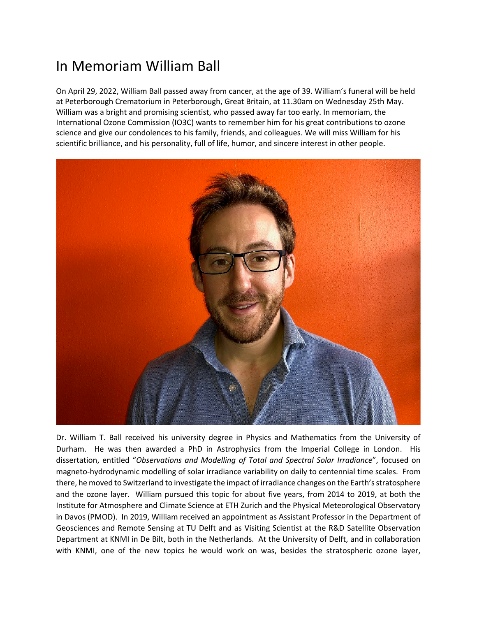## In Memoriam William Ball

On April 29, 2022, William Ball passed away from cancer, at the age of 39. William's funeral will be held at Peterborough Crematorium in Peterborough, Great Britain, at 11.30am on Wednesday 25th May. William was a bright and promising scientist, who passed away far too early. In memoriam, the International Ozone Commission (IO3C) wants to remember him for his great contributions to ozone science and give our condolences to his family, friends, and colleagues. We will miss William for his scientific brilliance, and his personality, full of life, humor, and sincere interest in other people.



Dr. William T. Ball received his university degree in Physics and Mathematics from the University of Durham. He was then awarded a PhD in Astrophysics from the Imperial College in London. His dissertation, entitled "*Observations and Modelling of Total and Spectral Solar Irradiance*", focused on magneto-hydrodynamic modelling of solar irradiance variability on daily to centennial time scales. From there, he moved to Switzerland to investigate the impact of irradiance changes on the Earth's stratosphere and the ozone layer. William pursued this topic for about five years, from 2014 to 2019, at both the Institute for Atmosphere and Climate Science at ETH Zurich and the Physical Meteorological Observatory in Davos (PMOD). In 2019, William received an appointment as Assistant Professor in the Department of Geosciences and Remote Sensing at TU Delft and as Visiting Scientist at the R&D Satellite Observation Department at KNMI in De Bilt, both in the Netherlands. At the University of Delft, and in collaboration with KNMI, one of the new topics he would work on was, besides the stratospheric ozone layer,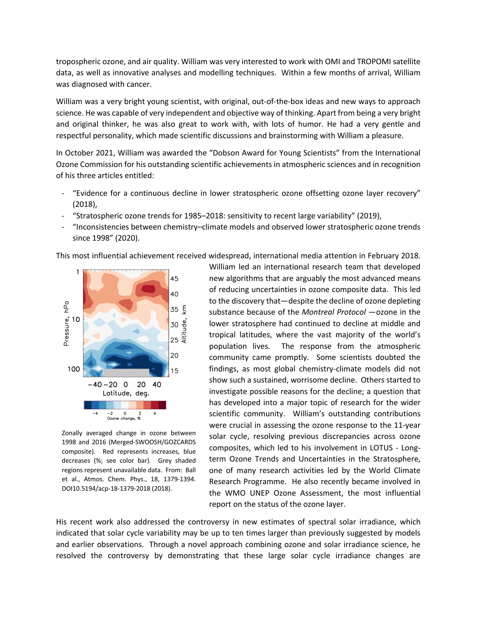tropospheric ozone, and air quality. William was very interested to work with OMI and TROPOMI satellite data, as well as innovative analyses and modelling techniques. Within a few months of arrival, William was diagnosed with cancer.

William was a very bright young scientist, with original, out-of-the-box ideas and new ways to approach science. He was capable of very independent and objective way of thinking. Apart from being a very bright and original thinker, he was also great to work with, with lots of humor. He had a very gentle and respectful personality, which made scientific discussions and brainstorming with William a pleasure.

In October 2021, William was awarded the "Dobson Award for Young Scientists" from the International Ozone Commission for his outstanding scientific achievements in atmospheric sciences and in recognition of his three articles entitled:

- "Evidence for a continuous decline in lower stratospheric ozone offsetting ozone layer recovery" (2018),
- "Stratospheric ozone trends for 1985–2018: sensitivity to recent large variability" (2019),
- "Inconsistencies between chemistry–climate models and observed lower stratospheric ozone trends since 1998" (2020).

This most influential achievement received widespread, international media attention in February 2018.



Zonally averaged change in ozone between 1998 and 2016 (Merged-SWOOSH/GOZCARDS composite). Red represents increases, blue decreases (%; see color bar). Grey shaded regions represent unavailable data. From: Ball et al., Atmos. Chem. Phys., 18, 1379-1394. DOI10.5194/acp-18-1379-2018 (2018).

William led an international research team that developed new algorithms that are arguably the most advanced means of reducing uncertainties in ozone composite data. This led to the discovery that—despite the decline of ozone depleting substance because of the *Montreal Protocol* —ozone in the lower stratosphere had continued to decline at middle and tropical latitudes, where the vast majority of the world's population lives. The response from the atmospheric community came promptly. Some scientists doubted the findings, as most global chemistry-climate models did not show such a sustained, worrisome decline. Others started to investigate possible reasons for the decline; a question that has developed into a major topic of research for the wider scientific community. William's outstanding contributions were crucial in assessing the ozone response to the 11-year solar cycle, resolving previous discrepancies across ozone composites, which led to his involvement in LOTUS - Longterm Ozone Trends and Uncertainties in the Stratosphere, one of many research activities led by the World Climate Research Programme. He also recently became involved in the WMO UNEP Ozone Assessment, the most influential report on the status of the ozone layer.

His recent work also addressed the controversy in new estimates of spectral solar irradiance, which indicated that solar cycle variability may be up to ten times larger than previously suggested by models and earlier observations. Through a novel approach combining ozone and solar irradiance science, he resolved the controversy by demonstrating that these large solar cycle irradiance changes are